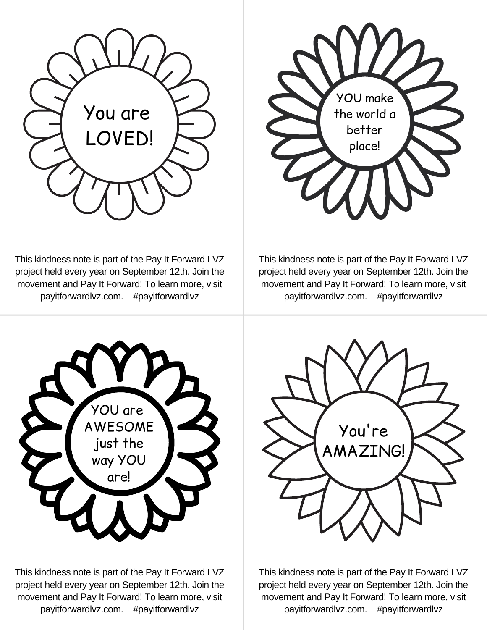



This kindness note is part of the Pay It Forward LVZ project held every year on September 12th. Join the movement and Pay It Forward! To learn more, visit payitforwardlvz.com. #payitforwardlvz

This kindness note is part of the Pay It Forward LVZ project held every year on September 12th. Join the movement and Pay It Forward! To learn more, visit payitforwardlvz.com. #payitforwardlvz



This kindness note is part of the Pay It Forward LVZ project held every year on September 12th. Join the movement and Pay It Forward! To learn more, visit payitforwardlvz.com. #payitforwardlvz



This kindness note is part of the Pay It Forward LVZ project held every year on September 12th. Join the movement and Pay It Forward! To learn more, visit payitforwardlvz.com. #payitforwardlvz